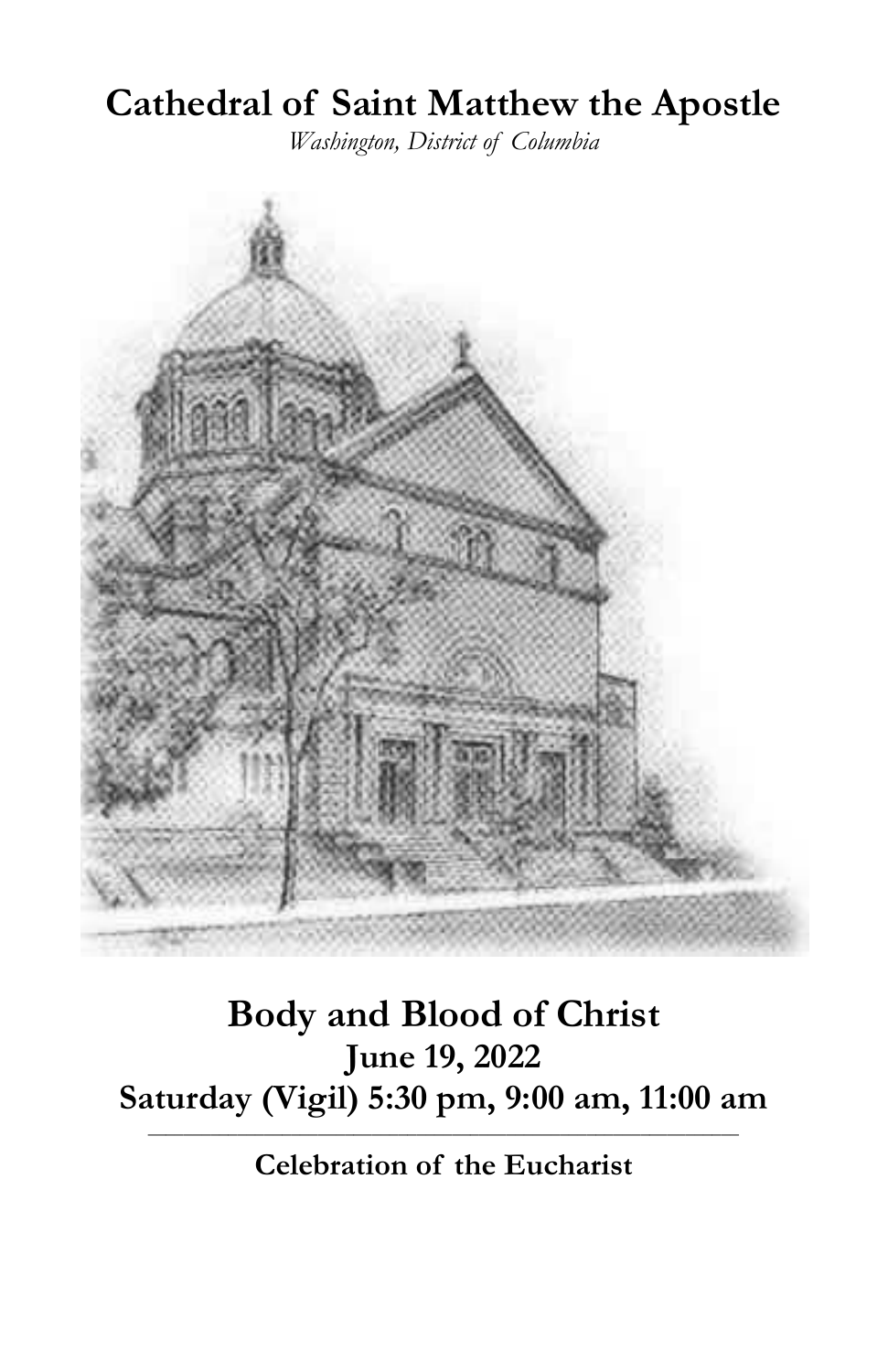# **Cathedral of Saint Matthew the Apostle**

*Washington, District of Columbia*



## **Body and Blood of Christ June 19, 2022 Saturday (Vigil) 5:30 pm, 9:00 am, 11:00 am**

**\_\_\_\_\_\_\_\_\_\_\_\_\_\_\_\_\_\_\_\_\_\_\_\_\_\_\_\_\_\_\_\_\_\_\_\_\_\_\_\_\_\_\_\_\_\_\_\_\_\_\_\_\_\_\_\_\_\_\_\_\_\_\_\_\_\_ Celebration of the Eucharist**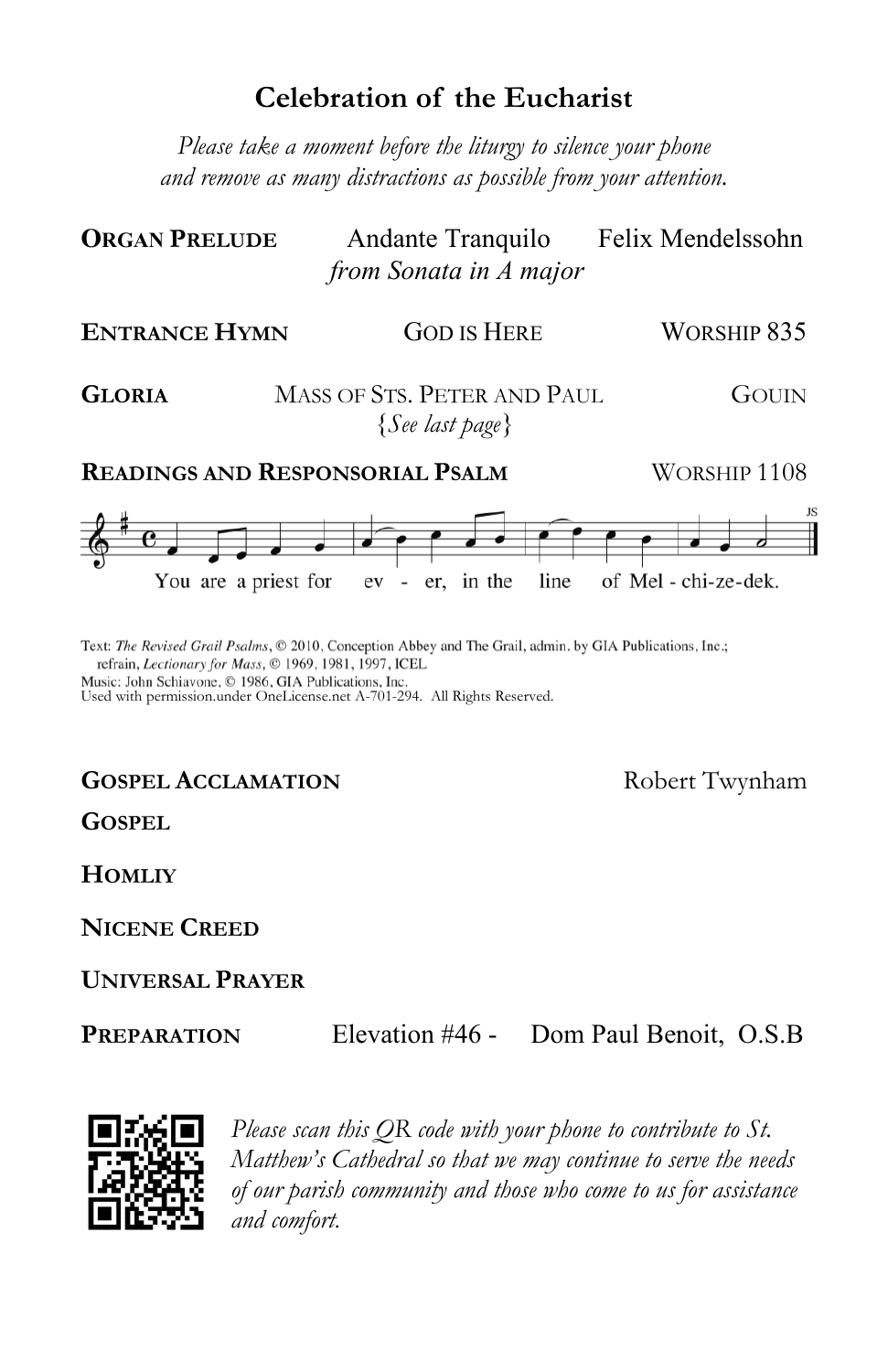## **Celebration of the Eucharist**

*Please take a moment before the liturgy to silence your phone and remove as many distractions as possible from your attention.*

| <b>ORGAN PRELUDE</b> | Andante Tranquilo      | Felix Mendelssohn |
|----------------------|------------------------|-------------------|
|                      | from Sonata in A major |                   |

| <b>ENTRANCE HYMN</b>                   | <b>GOD IS HERE</b>                             | WORSHIP 835  |
|----------------------------------------|------------------------------------------------|--------------|
| <b>GLORIA</b>                          | MASS OF STS. PETER AND PAUL<br>{See last page} | GOUIN        |
| <b>READINGS AND RESPONSORIAL PSALM</b> |                                                | WORSHIP 1108 |
|                                        |                                                |              |

You are a priest for ev - er, in the line of Mel-chi-ze-dek.

Text: The Revised Grail Psalms, © 2010, Conception Abbey and The Grail, admin. by GIA Publications, Inc.; refrain, Lectionary for Mass, © 1969, 1981, 1997, ICEL

Music: John Schiavone, © 1986, GIA Publications, Inc. Used with permission.under OneLicense.net A-701-294. All Rights Reserved.

### **GOSPEL ACCLAMATION** Robert Twynham

**GOSPEL**

**HOMLIY**

**NICENE CREED**

### **UNIVERSAL PRAYER**

**PREPARATION** Elevation #46 - Dom Paul Benoit, O.S.B



*Please scan this QR code with your phone to contribute to St. Matthew's Cathedral so that we may continue to serve the needs of our parish community and those who come to us for assistance and comfort.*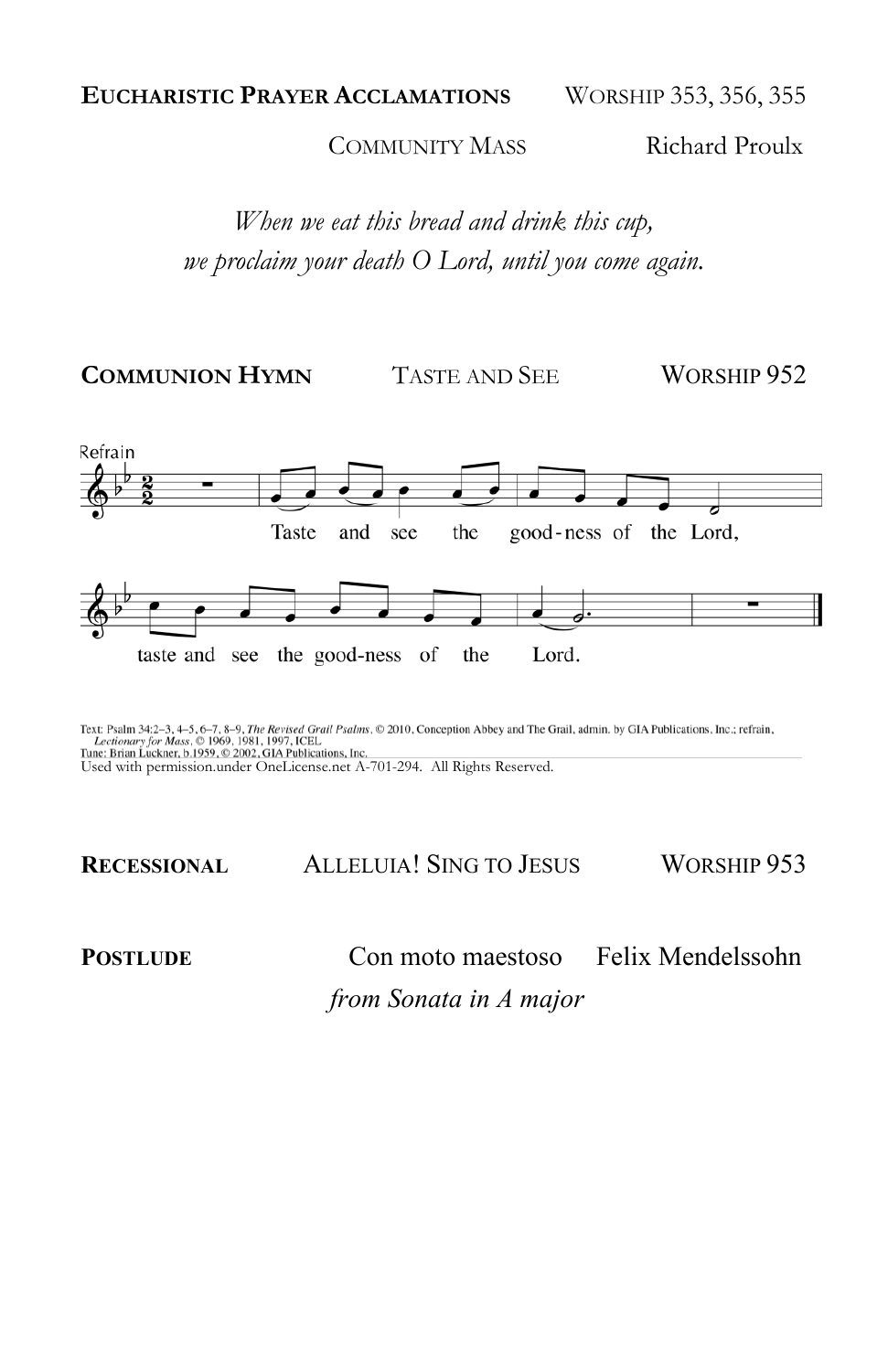COMMUNITY MASS Richard Proulx

*When we eat this bread and drink this cup, we proclaim your death O Lord, until you come again.*

**COMMUNION HYMN** TASTE AND SEE WORSHIP 952



Text: Psalm 34:2–3, 4–5, 6–7, 8–9, *The Revised Grail Psalms*, © 2010, Conception Abbey and The Grail, admin. by GIA Publications, Inc.; refrain, Inc.et Conelistic Publications (Inc.; refrain, Inc., refrain, Inc., refrain,

**RECESSIONAL** ALLELUIA! SING TO JESUS WORSHIP 953

**POSTLUDE** Con moto maestoso Felix Mendelssohn

 *from Sonata in A major*